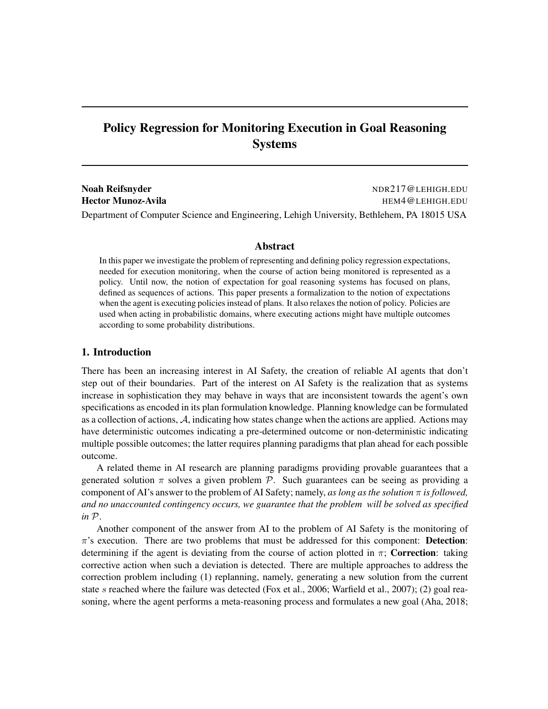# Policy Regression for Monitoring Execution in Goal Reasoning Systems

Noah Reifsnyder Noah Reifsnyder Noah Reifsnyder Noah Reifsnyder Noah Reifsnyder Noah Reifsnyder Noah Reifsnyder Hector Munoz-Avila **Hector Munoz-Avila HEM4@LEHIGH.EDU** Department of Computer Science and Engineering, Lehigh University, Bethlehem, PA 18015 USA

#### Abstract

In this paper we investigate the problem of representing and defining policy regression expectations, needed for execution monitoring, when the course of action being monitored is represented as a policy. Until now, the notion of expectation for goal reasoning systems has focused on plans, defined as sequences of actions. This paper presents a formalization to the notion of expectations when the agent is executing policies instead of plans. It also relaxes the notion of policy. Policies are used when acting in probabilistic domains, where executing actions might have multiple outcomes according to some probability distributions.

#### 1. Introduction

There has been an increasing interest in AI Safety, the creation of reliable AI agents that don't step out of their boundaries. Part of the interest on AI Safety is the realization that as systems increase in sophistication they may behave in ways that are inconsistent towards the agent's own specifications as encoded in its plan formulation knowledge. Planning knowledge can be formulated as a collection of actions, A, indicating how states change when the actions are applied. Actions may have deterministic outcomes indicating a pre-determined outcome or non-deterministic indicating multiple possible outcomes; the latter requires planning paradigms that plan ahead for each possible outcome.

A related theme in AI research are planning paradigms providing provable guarantees that a generated solution  $\pi$  solves a given problem  $\mathcal{P}$ . Such guarantees can be seeing as providing a component of AI's answer to the problem of AI Safety; namely, *as long as the solution* π *is followed, and no unaccounted contingency occurs, we guarantee that the problem will be solved as specified in* P.

Another component of the answer from AI to the problem of AI Safety is the monitoring of  $\pi$ 's execution. There are two problems that must be addressed for this component: **Detection**: determining if the agent is deviating from the course of action plotted in  $\pi$ ; Correction: taking corrective action when such a deviation is detected. There are multiple approaches to address the correction problem including (1) replanning, namely, generating a new solution from the current state s reached where the failure was detected (Fox et al., 2006; Warfield et al., 2007); (2) goal reasoning, where the agent performs a meta-reasoning process and formulates a new goal (Aha, 2018;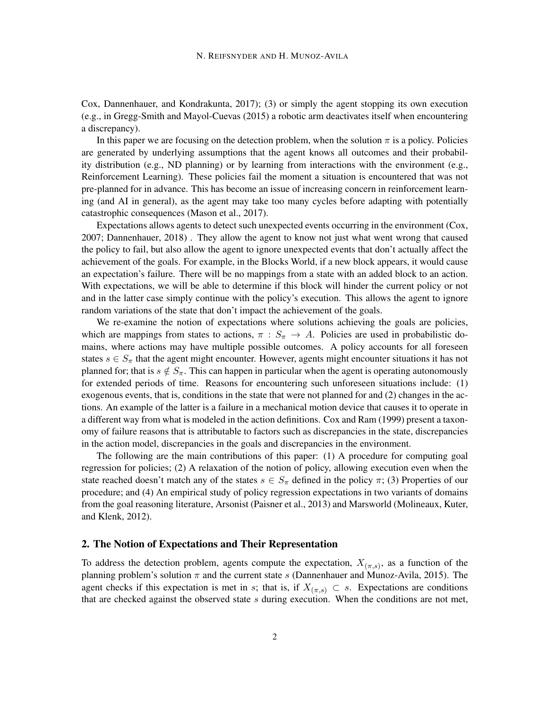Cox, Dannenhauer, and Kondrakunta, 2017); (3) or simply the agent stopping its own execution (e.g., in Gregg-Smith and Mayol-Cuevas (2015) a robotic arm deactivates itself when encountering a discrepancy).

In this paper we are focusing on the detection problem, when the solution  $\pi$  is a policy. Policies are generated by underlying assumptions that the agent knows all outcomes and their probability distribution (e.g., ND planning) or by learning from interactions with the environment (e.g., Reinforcement Learning). These policies fail the moment a situation is encountered that was not pre-planned for in advance. This has become an issue of increasing concern in reinforcement learning (and AI in general), as the agent may take too many cycles before adapting with potentially catastrophic consequences (Mason et al., 2017).

Expectations allows agents to detect such unexpected events occurring in the environment (Cox, 2007; Dannenhauer, 2018) . They allow the agent to know not just what went wrong that caused the policy to fail, but also allow the agent to ignore unexpected events that don't actually affect the achievement of the goals. For example, in the Blocks World, if a new block appears, it would cause an expectation's failure. There will be no mappings from a state with an added block to an action. With expectations, we will be able to determine if this block will hinder the current policy or not and in the latter case simply continue with the policy's execution. This allows the agent to ignore random variations of the state that don't impact the achievement of the goals.

We re-examine the notion of expectations where solutions achieving the goals are policies, which are mappings from states to actions,  $\pi : S_{\pi} \to A$ . Policies are used in probabilistic domains, where actions may have multiple possible outcomes. A policy accounts for all foreseen states  $s \in S_\pi$  that the agent might encounter. However, agents might encounter situations it has not planned for; that is  $s \notin S_{\pi}$ . This can happen in particular when the agent is operating autonomously for extended periods of time. Reasons for encountering such unforeseen situations include: (1) exogenous events, that is, conditions in the state that were not planned for and (2) changes in the actions. An example of the latter is a failure in a mechanical motion device that causes it to operate in a different way from what is modeled in the action definitions. Cox and Ram (1999) present a taxonomy of failure reasons that is attributable to factors such as discrepancies in the state, discrepancies in the action model, discrepancies in the goals and discrepancies in the environment.

The following are the main contributions of this paper: (1) A procedure for computing goal regression for policies; (2) A relaxation of the notion of policy, allowing execution even when the state reached doesn't match any of the states  $s \in S_\pi$  defined in the policy  $\pi$ ; (3) Properties of our procedure; and (4) An empirical study of policy regression expectations in two variants of domains from the goal reasoning literature, Arsonist (Paisner et al., 2013) and Marsworld (Molineaux, Kuter, and Klenk, 2012).

#### 2. The Notion of Expectations and Their Representation

To address the detection problem, agents compute the expectation,  $X_{(\pi,s)}$ , as a function of the planning problem's solution  $\pi$  and the current state s (Dannenhauer and Munoz-Avila, 2015). The agent checks if this expectation is met in s; that is, if  $X_{(\pi,s)} \subset s$ . Expectations are conditions that are checked against the observed state  $s$  during execution. When the conditions are not met,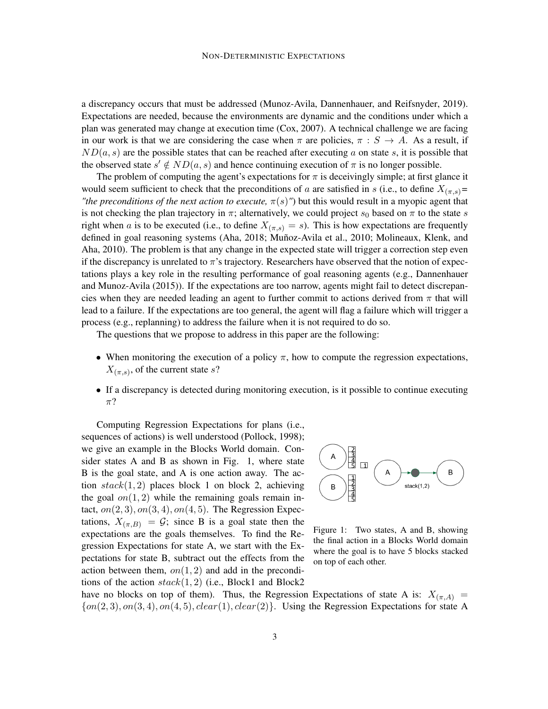a discrepancy occurs that must be addressed (Munoz-Avila, Dannenhauer, and Reifsnyder, 2019). Expectations are needed, because the environments are dynamic and the conditions under which a plan was generated may change at execution time (Cox, 2007). A technical challenge we are facing in our work is that we are considering the case when  $\pi$  are policies,  $\pi : S \to A$ . As a result, if  $ND(a, s)$  are the possible states that can be reached after executing a on state s, it is possible that the observed state  $s' \notin ND(a, s)$  and hence continuing execution of  $\pi$  is no longer possible.

The problem of computing the agent's expectations for  $\pi$  is deceivingly simple; at first glance it would seem sufficient to check that the preconditions of a are satisfied in s (i.e., to define  $X_{(\pi,s)}=$ *"the preconditions of the next action to execute,*  $\pi(s)$ ") but this would result in a myopic agent that is not checking the plan trajectory in  $\pi$ ; alternatively, we could project  $s_0$  based on  $\pi$  to the state s right when a is to be executed (i.e., to define  $X_{(\pi,s)} = s$ ). This is how expectations are frequently defined in goal reasoning systems (Aha, 2018; Muñoz-Avila et al., 2010; Molineaux, Klenk, and Aha, 2010). The problem is that any change in the expected state will trigger a correction step even if the discrepancy is unrelated to  $\pi$ 's trajectory. Researchers have observed that the notion of expectations plays a key role in the resulting performance of goal reasoning agents (e.g., Dannenhauer and Munoz-Avila (2015)). If the expectations are too narrow, agents might fail to detect discrepancies when they are needed leading an agent to further commit to actions derived from  $\pi$  that will lead to a failure. If the expectations are too general, the agent will flag a failure which will trigger a process (e.g., replanning) to address the failure when it is not required to do so.

The questions that we propose to address in this paper are the following:

- When monitoring the execution of a policy  $\pi$ , how to compute the regression expectations,  $X_{(\pi,s)}$ , of the current state s?
- If a discrepancy is detected during monitoring execution, is it possible to continue executing  $\pi$ ?

Computing Regression Expectations for plans (i.e., sequences of actions) is well understood (Pollock, 1998); we give an example in the Blocks World domain. Consider states A and B as shown in Fig. 1, where state B is the goal state, and A is one action away. The action  $stack(1, 2)$  places block 1 on block 2, achieving the goal  $on(1, 2)$  while the remaining goals remain intact,  $on(2, 3), on(3, 4), on(4, 5)$ . The Regression Expectations,  $X_{(\pi,B)} = \mathcal{G}$ ; since B is a goal state then the expectations are the goals themselves. To find the Regression Expectations for state A, we start with the Expectations for state B, subtract out the effects from the action between them,  $on(1, 2)$  and add in the preconditions of the action  $stack(1, 2)$  (i.e., Block1 and Block2



Figure 1: Two states, A and B, showing the final action in a Blocks World domain where the goal is to have 5 blocks stacked on top of each other.

have no blocks on top of them). Thus, the Regression Expectations of state A is:  $X_{(\pi,A)} =$  $\{on(2,3), on(3,4), on(4,5), clear(1), clear(2)\}\$ . Using the Regression Expectations for state A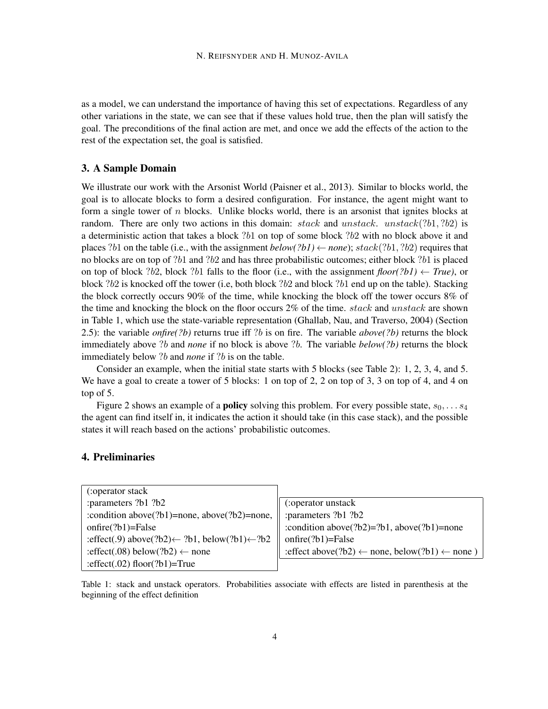as a model, we can understand the importance of having this set of expectations. Regardless of any other variations in the state, we can see that if these values hold true, then the plan will satisfy the goal. The preconditions of the final action are met, and once we add the effects of the action to the rest of the expectation set, the goal is satisfied.

#### 3. A Sample Domain

We illustrate our work with the Arsonist World (Paisner et al., 2013). Similar to blocks world, the goal is to allocate blocks to form a desired configuration. For instance, the agent might want to form a single tower of  $n$  blocks. Unlike blocks world, there is an arsonist that ignites blocks at random. There are only two actions in this domain: stack and unstack. unstack(?b1, ?b2) is a deterministic action that takes a block ?b1 on top of some block ?b2 with no block above it and places ?b1 on the table (i.e., with the assignment  $below(?b1) \leftarrow none$ );  $stack(?b1, ?b2)$  requires that no blocks are on top of ?b1 and ?b2 and has three probabilistic outcomes; either block ?b1 is placed on top of block ?b2, block ?b1 falls to the floor (i.e., with the assignment *floor(?b1)*  $\leftarrow$  *True)*, or block  $?b2$  is knocked off the tower (i.e, both block  $?b2$  and block  $?b1$  end up on the table). Stacking the block correctly occurs 90% of the time, while knocking the block off the tower occurs 8% of the time and knocking the block on the floor occurs  $2\%$  of the time. stack and unstack are shown in Table 1, which use the state-variable representation (Ghallab, Nau, and Traverso, 2004) (Section 2.5): the variable *onfire(?b)* returns true iff ?b is on fire. The variable *above(?b)* returns the block immediately above ?b and *none* if no block is above ?b. The variable *below(?b)* returns the block immediately below ?b and *none* if ?b is on the table.

Consider an example, when the initial state starts with 5 blocks (see Table 2): 1, 2, 3, 4, and 5. We have a goal to create a tower of 5 blocks: 1 on top of 2, 2 on top of 3, 3 on top of 4, and 4 on top of 5.

Figure 2 shows an example of a **policy** solving this problem. For every possible state,  $s_0, \ldots s_4$ the agent can find itself in, it indicates the action it should take (in this case stack), and the possible states it will reach based on the actions' probabilistic outcomes.

## 4. Preliminaries

| :operator stack                                                      |                                                                      |
|----------------------------------------------------------------------|----------------------------------------------------------------------|
| :parameters ?b1 ?b2                                                  | (:operator unstack                                                   |
| : condition above( $?b1$ )=none, above( $?b2$ )=none,                | :parameters ?b1 ?b2                                                  |
| $onfire(?b1)=False$                                                  | :condition above(?b2)=?b1, above(?b1)=none                           |
| :effect(.9) above(?b2) $\leftarrow$ ?b1, below(?b1) $\leftarrow$ ?b2 | $onfire(?b1)=False$                                                  |
| :effect(.08) below(?b2) $\leftarrow$ none                            | : effect above(?b2) $\leftarrow$ none, below(?b1) $\leftarrow$ none) |
| : effect(.02) floor(?b1)=True                                        |                                                                      |

Table 1: stack and unstack operators. Probabilities associate with effects are listed in parenthesis at the beginning of the effect definition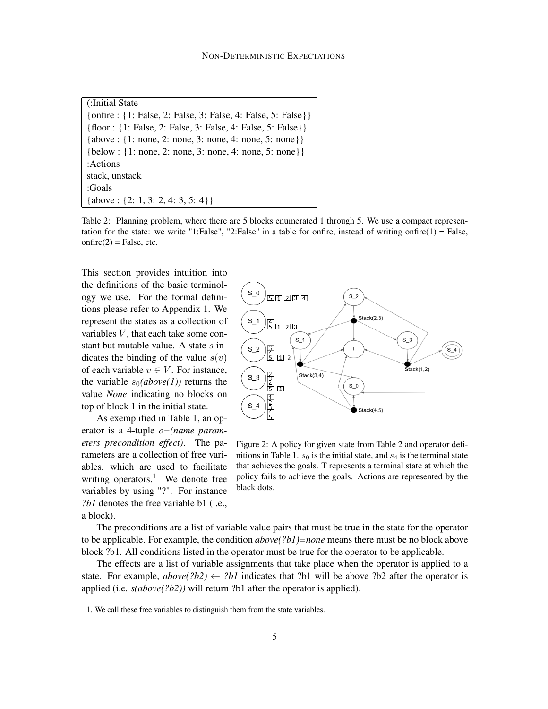(:Initial State {onfire : {1: False, 2: False, 3: False, 4: False, 5: False}} {floor : {1: False, 2: False, 3: False, 4: False, 5: False}} {above : {1: none, 2: none, 3: none, 4: none, 5: none}} {below : {1: none, 2: none, 3: none, 4: none, 5: none}} :Actions stack, unstack :Goals {above : {2: 1, 3: 2, 4: 3, 5: 4}}

Table 2: Planning problem, where there are 5 blocks enumerated 1 through 5. We use a compact representation for the state: we write "1:False", "2:False" in a table for onfire, instead of writing onfire(1) = False,  $onfire(2) = False, etc.$ 

This section provides intuition into the definitions of the basic terminology we use. For the formal definitions please refer to Appendix 1. We represent the states as a collection of variables  $V$ , that each take some constant but mutable value. A state  $s$  indicates the binding of the value  $s(v)$ of each variable  $v \in V$ . For instance, the variable  $s_0(above(1))$  returns the value *None* indicating no blocks on top of block 1 in the initial state.

As exemplified in Table 1, an operator is a 4-tuple *o=(name parameters precondition effect)*. The parameters are a collection of free variables, which are used to facilitate writing operators.<sup>1</sup> We denote free variables by using "?". For instance *?b1* denotes the free variable b1 (i.e., a block).



Figure 2: A policy for given state from Table 2 and operator definitions in Table 1.  $s_0$  is the initial state, and  $s_4$  is the terminal state that achieves the goals. T represents a terminal state at which the policy fails to achieve the goals. Actions are represented by the black dots.

The preconditions are a list of variable value pairs that must be true in the state for the operator to be applicable. For example, the condition *above(?b1)=none* means there must be no block above block ?b1. All conditions listed in the operator must be true for the operator to be applicable.

The effects are a list of variable assignments that take place when the operator is applied to a state. For example,  $above(?b2) \leftarrow ?b1$  indicates that ?b1 will be above ?b2 after the operator is applied (i.e. *s(above(?b2))* will return ?b1 after the operator is applied).

<sup>1.</sup> We call these free variables to distinguish them from the state variables.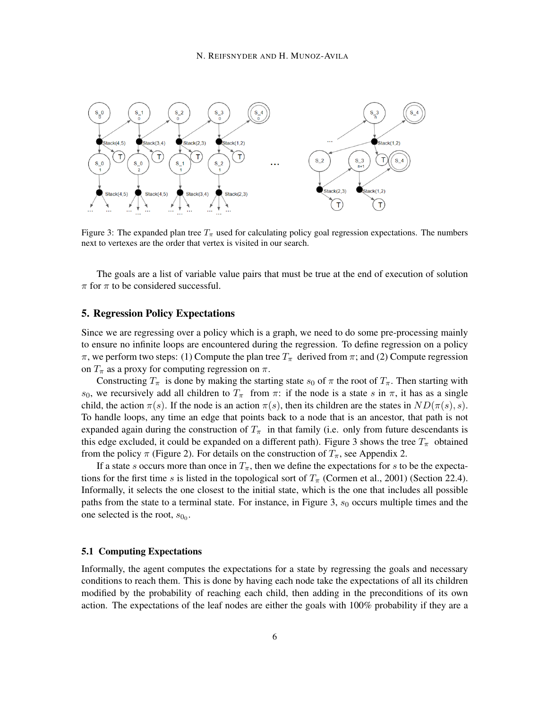

Figure 3: The expanded plan tree  $T_{\pi}$  used for calculating policy goal regression expectations. The numbers next to vertexes are the order that vertex is visited in our search.

The goals are a list of variable value pairs that must be true at the end of execution of solution  $\pi$  for  $\pi$  to be considered successful.

#### 5. Regression Policy Expectations

Since we are regressing over a policy which is a graph, we need to do some pre-processing mainly to ensure no infinite loops are encountered during the regression. To define regression on a policy π, we perform two steps: (1) Compute the plan tree  $T_\pi$  derived from π; and (2) Compute regression on  $T_{\pi}$  as a proxy for computing regression on  $\pi$ .

Constructing  $T_{\pi}$  is done by making the starting state  $s_0$  of  $\pi$  the root of  $T_{\pi}$ . Then starting with s<sub>0</sub>, we recursively add all children to  $T_{\pi}$  from  $\pi$ : if the node is a state s in  $\pi$ , it has as a single child, the action  $\pi(s)$ . If the node is an action  $\pi(s)$ , then its children are the states in  $ND(\pi(s), s)$ . To handle loops, any time an edge that points back to a node that is an ancestor, that path is not expanded again during the construction of  $T_{\pi}$  in that family (i.e. only from future descendants is this edge excluded, it could be expanded on a different path). Figure 3 shows the tree  $T_{\pi}$  obtained from the policy  $\pi$  (Figure 2). For details on the construction of  $T_{\pi}$ , see Appendix 2.

If a state s occurs more than once in  $T_{\pi}$ , then we define the expectations for s to be the expectations for the first time s is listed in the topological sort of  $T_{\pi}$  (Cormen et al., 2001) (Section 22.4). Informally, it selects the one closest to the initial state, which is the one that includes all possible paths from the state to a terminal state. For instance, in Figure 3,  $s_0$  occurs multiple times and the one selected is the root,  $s_{0_0}$ .

#### 5.1 Computing Expectations

Informally, the agent computes the expectations for a state by regressing the goals and necessary conditions to reach them. This is done by having each node take the expectations of all its children modified by the probability of reaching each child, then adding in the preconditions of its own action. The expectations of the leaf nodes are either the goals with 100% probability if they are a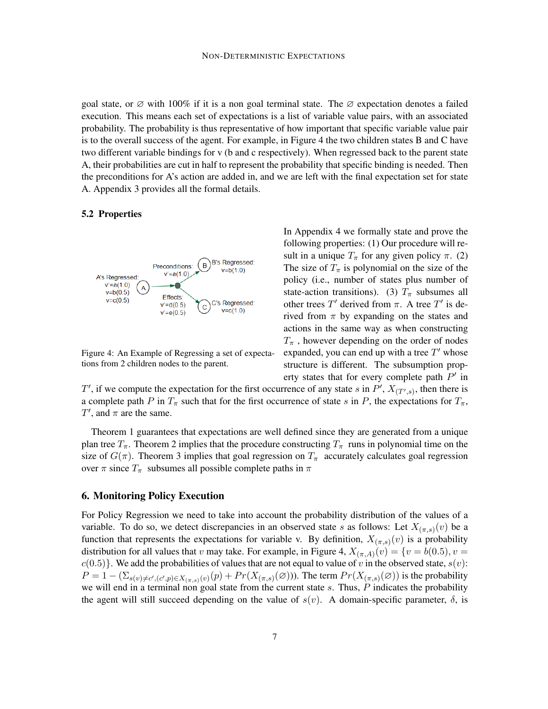goal state, or  $\varnothing$  with 100% if it is a non goal terminal state. The  $\varnothing$  expectation denotes a failed execution. This means each set of expectations is a list of variable value pairs, with an associated probability. The probability is thus representative of how important that specific variable value pair is to the overall success of the agent. For example, in Figure 4 the two children states B and C have two different variable bindings for v (b and c respectively). When regressed back to the parent state A, their probabilities are cut in half to represent the probability that specific binding is needed. Then the preconditions for A's action are added in, and we are left with the final expectation set for state A. Appendix 3 provides all the formal details.

#### 5.2 Properties



Figure 4: An Example of Regressing a set of expectations from 2 children nodes to the parent.

In Appendix 4 we formally state and prove the following properties: (1) Our procedure will result in a unique  $T_{\pi}$  for any given policy  $\pi$ . (2) The size of  $T_{\pi}$  is polynomial on the size of the policy (i.e., number of states plus number of state-action transitions). (3)  $T_{\pi}$  subsumes all other trees  $T'$  derived from  $\pi$ . A tree  $T'$  is derived from  $\pi$  by expanding on the states and actions in the same way as when constructing  $T_{\pi}$ , however depending on the order of nodes expanded, you can end up with a tree  $T'$  whose structure is different. The subsumption property states that for every complete path  $P'$  in

T', if we compute the expectation for the first occurrence of any state s in P',  $X_{(T',s)}$ , then there is a complete path P in  $T_\pi$  such that for the first occurrence of state s in P, the expectations for  $T_\pi$ ,  $T'$ , and  $\pi$  are the same.

Theorem 1 guarantees that expectations are well defined since they are generated from a unique plan tree  $T_{\pi}$ . Theorem 2 implies that the procedure constructing  $T_{\pi}$  runs in polynomial time on the size of  $G(\pi)$ . Theorem 3 implies that goal regression on  $T_{\pi}$  accurately calculates goal regression over  $\pi$  since  $T_{\pi}$  subsumes all possible complete paths in  $\pi$ 

#### 6. Monitoring Policy Execution

For Policy Regression we need to take into account the probability distribution of the values of a variable. To do so, we detect discrepancies in an observed state s as follows: Let  $X_{(\pi, s)}(v)$  be a function that represents the expectations for variable v. By definition,  $X_{(\pi,s)}(v)$  is a probability distribution for all values that v may take. For example, in Figure 4,  $X_{(\pi,A)}(v) = \{v = b(0.5), v = 0\}$  $c(0.5)$ . We add the probabilities of values that are not equal to value of v in the observed state,  $s(v)$ :  $P = 1 - (\sum_{s(v) \neq c', (c', p) \in X_{(\pi, s)}(v)}(p) + Pr(X_{(\pi, s)}(\emptyset))$ . The term  $Pr(X_{(\pi, s)}(\emptyset))$  is the probability we will end in a terminal non goal state from the current state  $s$ . Thus,  $\tilde{P}$  indicates the probability the agent will still succeed depending on the value of  $s(v)$ . A domain-specific parameter,  $\delta$ , is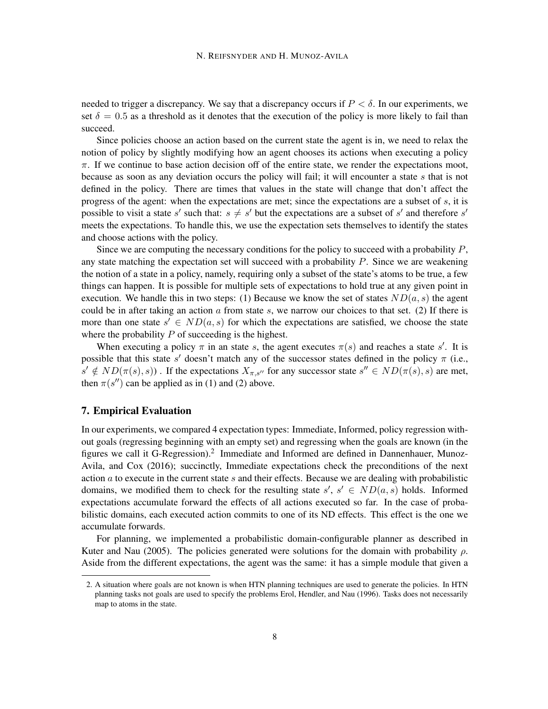needed to trigger a discrepancy. We say that a discrepancy occurs if  $P < \delta$ . In our experiments, we set  $\delta = 0.5$  as a threshold as it denotes that the execution of the policy is more likely to fail than succeed.

Since policies choose an action based on the current state the agent is in, we need to relax the notion of policy by slightly modifying how an agent chooses its actions when executing a policy  $\pi$ . If we continue to base action decision off of the entire state, we render the expectations moot, because as soon as any deviation occurs the policy will fail; it will encounter a state s that is not defined in the policy. There are times that values in the state will change that don't affect the progress of the agent: when the expectations are met; since the expectations are a subset of  $s$ , it is possible to visit a state s' such that:  $s \neq s'$  but the expectations are a subset of s' and therefore s' meets the expectations. To handle this, we use the expectation sets themselves to identify the states and choose actions with the policy.

Since we are computing the necessary conditions for the policy to succeed with a probability  $P$ , any state matching the expectation set will succeed with a probability  $P$ . Since we are weakening the notion of a state in a policy, namely, requiring only a subset of the state's atoms to be true, a few things can happen. It is possible for multiple sets of expectations to hold true at any given point in execution. We handle this in two steps: (1) Because we know the set of states  $ND(a, s)$  the agent could be in after taking an action  $a$  from state  $s$ , we narrow our choices to that set. (2) If there is more than one state  $s' \in ND(a, s)$  for which the expectations are satisfied, we choose the state where the probability  $P$  of succeeding is the highest.

When executing a policy  $\pi$  in an state s, the agent executes  $\pi(s)$  and reaches a state s'. It is possible that this state s' doesn't match any of the successor states defined in the policy  $\pi$  (i.e.,  $s' \notin ND(\pi(s), s)$ . If the expectations  $X_{\pi, s''}$  for any successor state  $s'' \in ND(\pi(s), s)$  are met, then  $\pi(s'')$  can be applied as in (1) and (2) above.

#### 7. Empirical Evaluation

In our experiments, we compared 4 expectation types: Immediate, Informed, policy regression without goals (regressing beginning with an empty set) and regressing when the goals are known (in the figures we call it G-Regression).<sup>2</sup> Immediate and Informed are defined in Dannenhauer, Munoz-Avila, and Cox (2016); succinctly, Immediate expectations check the preconditions of the next action  $a$  to execute in the current state  $s$  and their effects. Because we are dealing with probabilistic domains, we modified them to check for the resulting state  $s'$ ,  $s' \in ND(a, s)$  holds. Informed expectations accumulate forward the effects of all actions executed so far. In the case of probabilistic domains, each executed action commits to one of its ND effects. This effect is the one we accumulate forwards.

For planning, we implemented a probabilistic domain-configurable planner as described in Kuter and Nau (2005). The policies generated were solutions for the domain with probability  $\rho$ . Aside from the different expectations, the agent was the same: it has a simple module that given a

<sup>2.</sup> A situation where goals are not known is when HTN planning techniques are used to generate the policies. In HTN planning tasks not goals are used to specify the problems Erol, Hendler, and Nau (1996). Tasks does not necessarily map to atoms in the state.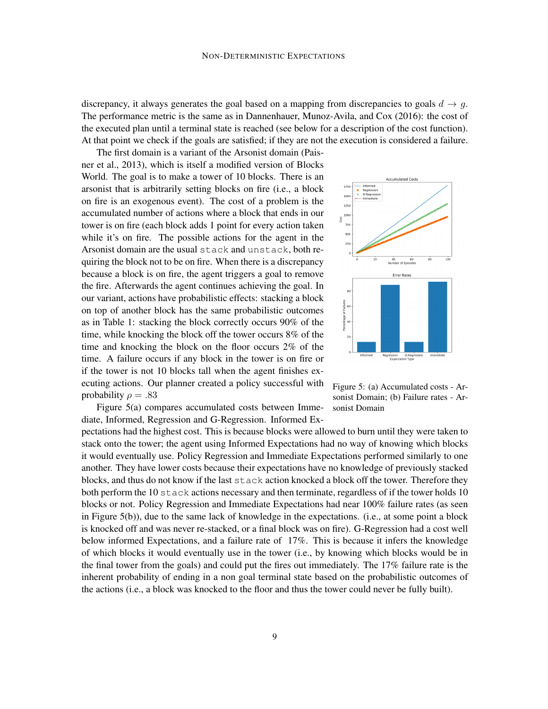discrepancy, it always generates the goal based on a mapping from discrepancies to goals  $d \rightarrow q$ . The performance metric is the same as in Dannenhauer, Munoz-Avila, and Cox (2016): the cost of the executed plan until a terminal state is reached (see below for a description of the cost function). At that point we check if the goals are satisfied; if they are not the execution is considered a failure.

The first domain is a variant of the Arsonist domain (Paisner et al., 2013), which is itself a modified version of Blocks World. The goal is to make a tower of 10 blocks. There is an arsonist that is arbitrarily setting blocks on fire (i.e., a block on fire is an exogenous event). The cost of a problem is the accumulated number of actions where a block that ends in our tower is on fire (each block adds 1 point for every action taken while it's on fire. The possible actions for the agent in the Arsonist domain are the usual stack and unstack, both requiring the block not to be on fire. When there is a discrepancy because a block is on fire, the agent triggers a goal to remove the fire. Afterwards the agent continues achieving the goal. In our variant, actions have probabilistic effects: stacking a block on top of another block has the same probabilistic outcomes as in Table 1: stacking the block correctly occurs 90% of the time, while knocking the block off the tower occurs 8% of the time and knocking the block on the floor occurs 2% of the time. A failure occurs if any block in the tower is on fire or if the tower is not 10 blocks tall when the agent finishes executing actions. Our planner created a policy successful with probability  $\rho = .83$ 



Figure 5(a) compares accumulated costs between Immediate, Informed, Regression and G-Regression. Informed Ex-



pectations had the highest cost. This is because blocks were allowed to burn until they were taken to stack onto the tower; the agent using Informed Expectations had no way of knowing which blocks it would eventually use. Policy Regression and Immediate Expectations performed similarly to one another. They have lower costs because their expectations have no knowledge of previously stacked blocks, and thus do not know if the last stack action knocked a block off the tower. Therefore they both perform the 10 stack actions necessary and then terminate, regardless of if the tower holds 10 blocks or not. Policy Regression and Immediate Expectations had near 100% failure rates (as seen in Figure 5(b)), due to the same lack of knowledge in the expectations. (i.e., at some point a block is knocked off and was never re-stacked, or a final block was on fire). G-Regression had a cost well below informed Expectations, and a failure rate of 17%. This is because it infers the knowledge of which blocks it would eventually use in the tower (i.e., by knowing which blocks would be in the final tower from the goals) and could put the fires out immediately. The 17% failure rate is the inherent probability of ending in a non goal terminal state based on the probabilistic outcomes of the actions (i.e., a block was knocked to the floor and thus the tower could never be fully built).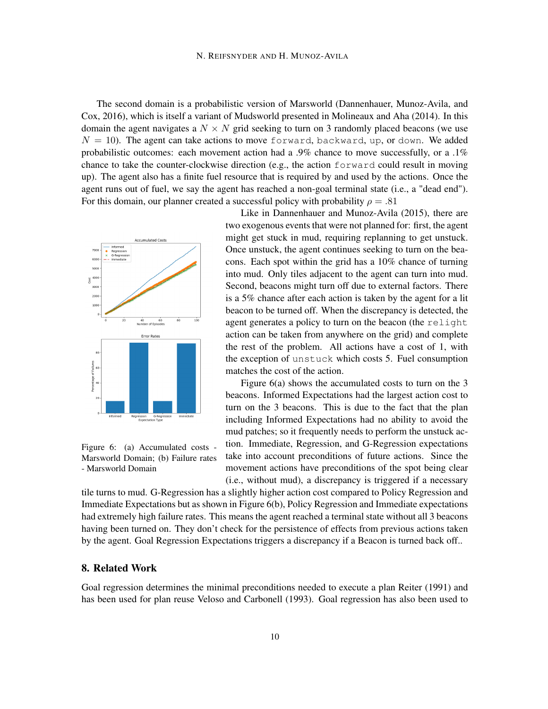The second domain is a probabilistic version of Marsworld (Dannenhauer, Munoz-Avila, and Cox, 2016), which is itself a variant of Mudsworld presented in Molineaux and Aha (2014). In this domain the agent navigates a  $N \times N$  grid seeking to turn on 3 randomly placed beacons (we use  $N = 10$ ). The agent can take actions to move forward, backward, up, or down. We added probabilistic outcomes: each movement action had a .9% chance to move successfully, or a .1% chance to take the counter-clockwise direction (e.g., the action forward could result in moving up). The agent also has a finite fuel resource that is required by and used by the actions. Once the agent runs out of fuel, we say the agent has reached a non-goal terminal state (i.e., a "dead end"). For this domain, our planner created a successful policy with probability  $\rho = .81$ 



Figure 6: (a) Accumulated costs - Marsworld Domain; (b) Failure rates - Marsworld Domain

Like in Dannenhauer and Munoz-Avila (2015), there are two exogenous events that were not planned for: first, the agent might get stuck in mud, requiring replanning to get unstuck. Once unstuck, the agent continues seeking to turn on the beacons. Each spot within the grid has a 10% chance of turning into mud. Only tiles adjacent to the agent can turn into mud. Second, beacons might turn off due to external factors. There is a 5% chance after each action is taken by the agent for a lit beacon to be turned off. When the discrepancy is detected, the agent generates a policy to turn on the beacon (the relight action can be taken from anywhere on the grid) and complete the rest of the problem. All actions have a cost of 1, with the exception of unstuck which costs 5. Fuel consumption matches the cost of the action.

Figure 6(a) shows the accumulated costs to turn on the 3 beacons. Informed Expectations had the largest action cost to turn on the 3 beacons. This is due to the fact that the plan including Informed Expectations had no ability to avoid the mud patches; so it frequently needs to perform the unstuck action. Immediate, Regression, and G-Regression expectations take into account preconditions of future actions. Since the movement actions have preconditions of the spot being clear (i.e., without mud), a discrepancy is triggered if a necessary

tile turns to mud. G-Regression has a slightly higher action cost compared to Policy Regression and Immediate Expectations but as shown in Figure 6(b), Policy Regression and Immediate expectations had extremely high failure rates. This means the agent reached a terminal state without all 3 beacons having been turned on. They don't check for the persistence of effects from previous actions taken by the agent. Goal Regression Expectations triggers a discrepancy if a Beacon is turned back off..

## 8. Related Work

Goal regression determines the minimal preconditions needed to execute a plan Reiter (1991) and has been used for plan reuse Veloso and Carbonell (1993). Goal regression has also been used to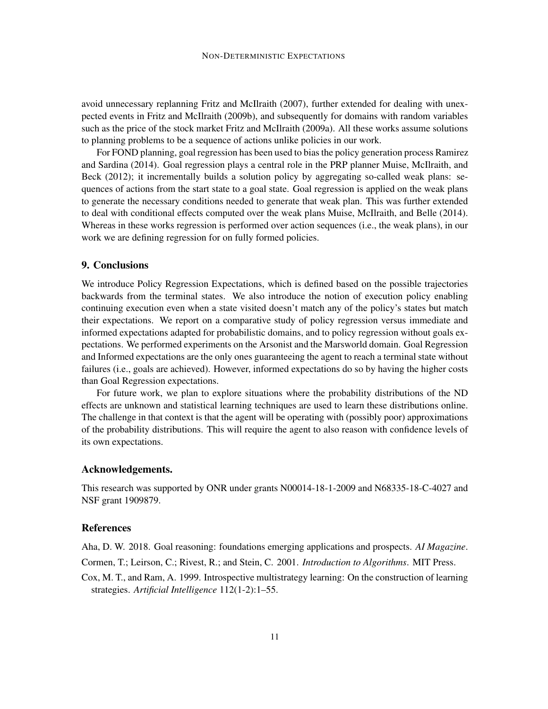avoid unnecessary replanning Fritz and McIlraith (2007), further extended for dealing with unexpected events in Fritz and McIlraith (2009b), and subsequently for domains with random variables such as the price of the stock market Fritz and McIlraith (2009a). All these works assume solutions to planning problems to be a sequence of actions unlike policies in our work.

For FOND planning, goal regression has been used to bias the policy generation process Ramirez and Sardina (2014). Goal regression plays a central role in the PRP planner Muise, McIlraith, and Beck (2012); it incrementally builds a solution policy by aggregating so-called weak plans: sequences of actions from the start state to a goal state. Goal regression is applied on the weak plans to generate the necessary conditions needed to generate that weak plan. This was further extended to deal with conditional effects computed over the weak plans Muise, McIlraith, and Belle (2014). Whereas in these works regression is performed over action sequences (i.e., the weak plans), in our work we are defining regression for on fully formed policies.

## 9. Conclusions

We introduce Policy Regression Expectations, which is defined based on the possible trajectories backwards from the terminal states. We also introduce the notion of execution policy enabling continuing execution even when a state visited doesn't match any of the policy's states but match their expectations. We report on a comparative study of policy regression versus immediate and informed expectations adapted for probabilistic domains, and to policy regression without goals expectations. We performed experiments on the Arsonist and the Marsworld domain. Goal Regression and Informed expectations are the only ones guaranteeing the agent to reach a terminal state without failures (i.e., goals are achieved). However, informed expectations do so by having the higher costs than Goal Regression expectations.

For future work, we plan to explore situations where the probability distributions of the ND effects are unknown and statistical learning techniques are used to learn these distributions online. The challenge in that context is that the agent will be operating with (possibly poor) approximations of the probability distributions. This will require the agent to also reason with confidence levels of its own expectations.

## Acknowledgements.

This research was supported by ONR under grants N00014-18-1-2009 and N68335-18-C-4027 and NSF grant 1909879.

#### References

Aha, D. W. 2018. Goal reasoning: foundations emerging applications and prospects. *AI Magazine*.

- Cormen, T.; Leirson, C.; Rivest, R.; and Stein, C. 2001. *Introduction to Algorithms*. MIT Press.
- Cox, M. T., and Ram, A. 1999. Introspective multistrategy learning: On the construction of learning strategies. *Artificial Intelligence* 112(1-2):1–55.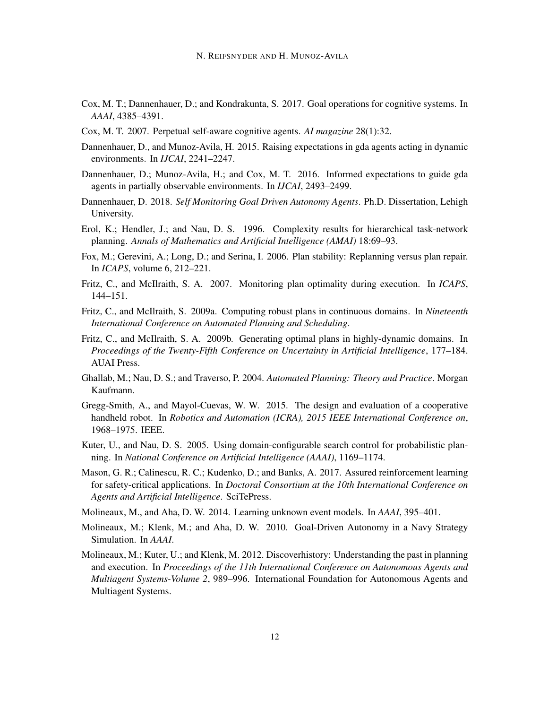- Cox, M. T.; Dannenhauer, D.; and Kondrakunta, S. 2017. Goal operations for cognitive systems. In *AAAI*, 4385–4391.
- Cox, M. T. 2007. Perpetual self-aware cognitive agents. *AI magazine* 28(1):32.
- Dannenhauer, D., and Munoz-Avila, H. 2015. Raising expectations in gda agents acting in dynamic environments. In *IJCAI*, 2241–2247.
- Dannenhauer, D.; Munoz-Avila, H.; and Cox, M. T. 2016. Informed expectations to guide gda agents in partially observable environments. In *IJCAI*, 2493–2499.
- Dannenhauer, D. 2018. *Self Monitoring Goal Driven Autonomy Agents*. Ph.D. Dissertation, Lehigh University.
- Erol, K.; Hendler, J.; and Nau, D. S. 1996. Complexity results for hierarchical task-network planning. *Annals of Mathematics and Artificial Intelligence (AMAI)* 18:69–93.
- Fox, M.; Gerevini, A.; Long, D.; and Serina, I. 2006. Plan stability: Replanning versus plan repair. In *ICAPS*, volume 6, 212–221.
- Fritz, C., and McIlraith, S. A. 2007. Monitoring plan optimality during execution. In *ICAPS*, 144–151.
- Fritz, C., and McIlraith, S. 2009a. Computing robust plans in continuous domains. In *Nineteenth International Conference on Automated Planning and Scheduling*.
- Fritz, C., and McIlraith, S. A. 2009b. Generating optimal plans in highly-dynamic domains. In *Proceedings of the Twenty-Fifth Conference on Uncertainty in Artificial Intelligence*, 177–184. AUAI Press.
- Ghallab, M.; Nau, D. S.; and Traverso, P. 2004. *Automated Planning: Theory and Practice*. Morgan Kaufmann.
- Gregg-Smith, A., and Mayol-Cuevas, W. W. 2015. The design and evaluation of a cooperative handheld robot. In *Robotics and Automation (ICRA), 2015 IEEE International Conference on*, 1968–1975. IEEE.
- Kuter, U., and Nau, D. S. 2005. Using domain-configurable search control for probabilistic planning. In *National Conference on Artificial Intelligence (AAAI)*, 1169–1174.
- Mason, G. R.; Calinescu, R. C.; Kudenko, D.; and Banks, A. 2017. Assured reinforcement learning for safety-critical applications. In *Doctoral Consortium at the 10th International Conference on Agents and Artificial Intelligence*. SciTePress.
- Molineaux, M., and Aha, D. W. 2014. Learning unknown event models. In *AAAI*, 395–401.
- Molineaux, M.; Klenk, M.; and Aha, D. W. 2010. Goal-Driven Autonomy in a Navy Strategy Simulation. In *AAAI*.
- Molineaux, M.; Kuter, U.; and Klenk, M. 2012. Discoverhistory: Understanding the past in planning and execution. In *Proceedings of the 11th International Conference on Autonomous Agents and Multiagent Systems-Volume 2*, 989–996. International Foundation for Autonomous Agents and Multiagent Systems.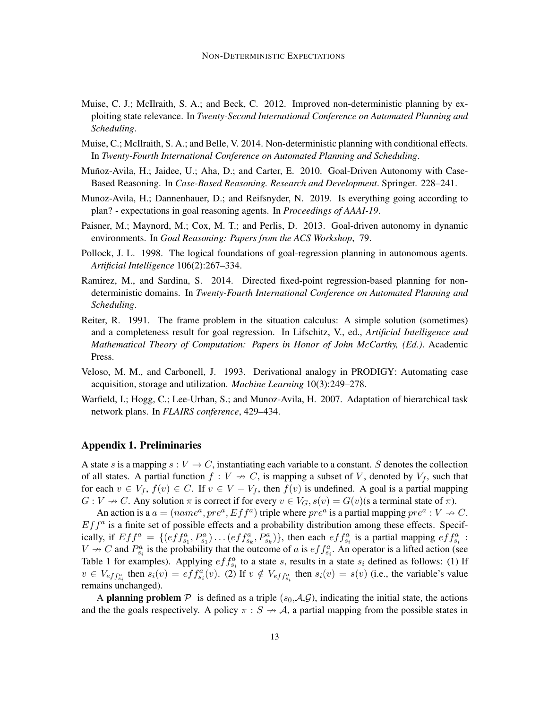- Muise, C. J.; McIlraith, S. A.; and Beck, C. 2012. Improved non-deterministic planning by exploiting state relevance. In *Twenty-Second International Conference on Automated Planning and Scheduling*.
- Muise, C.; McIlraith, S. A.; and Belle, V. 2014. Non-deterministic planning with conditional effects. In *Twenty-Fourth International Conference on Automated Planning and Scheduling*.
- Muñoz-Avila, H.; Jaidee, U.; Aha, D.; and Carter, E. 2010. Goal-Driven Autonomy with Case-Based Reasoning. In *Case-Based Reasoning. Research and Development*. Springer. 228–241.
- Munoz-Avila, H.; Dannenhauer, D.; and Reifsnyder, N. 2019. Is everything going according to plan? - expectations in goal reasoning agents. In *Proceedings of AAAI-19*.
- Paisner, M.; Maynord, M.; Cox, M. T.; and Perlis, D. 2013. Goal-driven autonomy in dynamic environments. In *Goal Reasoning: Papers from the ACS Workshop*, 79.
- Pollock, J. L. 1998. The logical foundations of goal-regression planning in autonomous agents. *Artificial Intelligence* 106(2):267–334.
- Ramirez, M., and Sardina, S. 2014. Directed fixed-point regression-based planning for nondeterministic domains. In *Twenty-Fourth International Conference on Automated Planning and Scheduling*.
- Reiter, R. 1991. The frame problem in the situation calculus: A simple solution (sometimes) and a completeness result for goal regression. In Lifschitz, V., ed., *Artificial Intelligence and Mathematical Theory of Computation: Papers in Honor of John McCarthy, (Ed.)*. Academic Press.
- Veloso, M. M., and Carbonell, J. 1993. Derivational analogy in PRODIGY: Automating case acquisition, storage and utilization. *Machine Learning* 10(3):249–278.
- Warfield, I.; Hogg, C.; Lee-Urban, S.; and Munoz-Avila, H. 2007. Adaptation of hierarchical task network plans. In *FLAIRS conference*, 429–434.

### Appendix 1. Preliminaries

A state s is a mapping  $s: V \to C$ , instantiating each variable to a constant. S denotes the collection of all states. A partial function  $f : V \to C$ , is mapping a subset of V, denoted by  $V_f$ , such that for each  $v \in V_f$ ,  $f(v) \in C$ . If  $v \in V - V_f$ , then  $f(v)$  is undefined. A goal is a partial mapping  $G: V \to C$ . Any solution  $\pi$  is correct if for every  $v \in V_G$ ,  $s(v) = G(v)$  (s a terminal state of  $\pi$ ).

An action is a  $a = (name^a, pre^a, Eff^a)$  triple where  $pre^a$  is a partial mapping  $pre^a: V \rightarrow C$ .  $Eff<sup>a</sup>$  is a finite set of possible effects and a probability distribution among these effects. Specifically, if  $Eff^a = \{ (eff^a_{s_1}, P^a_{s_1}) \dots (eff^a_{s_k}, P^a_{s_k}) \}$ , then each  $eff^a_{s_i}$  is a partial mapping  $eff^a_{s_i}$ :  $V \nightharpoonup C$  and  $P_{s_i}^a$  is the probability that the outcome of a is  $eff_{s_i}^a$ . An operator is a lifted action (see Table 1 for examples). Applying  $eff_{s_i}^a$  to a state s, results in a state  $s_i$  defined as follows: (1) If  $v \in V_{eff_{s_i}}$  then  $s_i(v) = eff_{s_i}^a(v)$ . (2) If  $v \notin V_{eff_{s_i}}$  then  $s_i(v) = s(v)$  (i.e., the variable's value remains unchanged).

A planning problem  $P$  is defined as a triple  $(s_0, A, G)$ , indicating the initial state, the actions and the the goals respectively. A policy  $\pi : S \to A$ , a partial mapping from the possible states in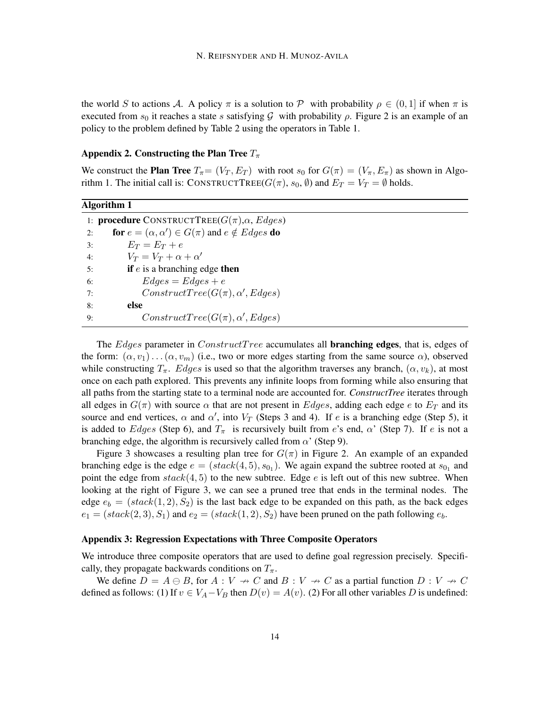the world S to actions A. A policy  $\pi$  is a solution to P with probability  $\rho \in (0,1]$  if when  $\pi$  is executed from  $s_0$  it reaches a state s satisfying G with probability  $\rho$ . Figure 2 is an example of an policy to the problem defined by Table 2 using the operators in Table 1.

#### Appendix 2. Constructing the Plan Tree  $T_{\pi}$

We construct the **Plan Tree**  $T_{\pi} = (V_T, E_T)$  with root  $s_0$  for  $G(\pi) = (V_{\pi}, E_{\pi})$  as shown in Algorithm 1. The initial call is: CONSTRUCTTREE( $G(\pi)$ ,  $s_0$ ,  $\emptyset$ ) and  $E_T = V_T = \emptyset$  holds.

| Algorithm 1 |                                                                      |
|-------------|----------------------------------------------------------------------|
|             | 1: <b>procedure</b> CONSTRUCTTREE( $G(\pi), \alpha$ , <i>Edges</i> ) |
| 2:          | for $e = (\alpha, \alpha') \in G(\pi)$ and $e \notin Edges$ do       |
| 3:          | $E_T = E_T + e$                                                      |
| 4:          | $V_T = V_T + \alpha + \alpha'$                                       |
| 5:          | if $e$ is a branching edge then                                      |
| 6:          | $Edges = Edges + e$                                                  |
| 7:          | $ConstructTree(G(\pi), \alpha', Edges)$                              |
| 8:          | else                                                                 |
| 9:          | $ConstructTree(G(\pi), \alpha', Edges)$                              |

The *Edges* parameter in *ConstructTree* accumulates all **branching edges**, that is, edges of the form:  $(\alpha, v_1) \dots (\alpha, v_m)$  (i.e., two or more edges starting from the same source  $\alpha$ ), observed while constructing  $T_{\pi}$ . Edges is used so that the algorithm traverses any branch,  $(\alpha, v_k)$ , at most once on each path explored. This prevents any infinite loops from forming while also ensuring that all paths from the starting state to a terminal node are accounted for. *ConstructTree* iterates through all edges in  $G(\pi)$  with source  $\alpha$  that are not present in Edges, adding each edge e to  $E_T$  and its source and end vertices,  $\alpha$  and  $\alpha'$ , into  $V_T$  (Steps 3 and 4). If e is a branching edge (Step 5), it is added to Edges (Step 6), and  $T_{\pi}$  is recursively built from e's end,  $\alpha'$  (Step 7). If e is not a branching edge, the algorithm is recursively called from  $\alpha'$  (Step 9).

Figure 3 showcases a resulting plan tree for  $G(\pi)$  in Figure 2. An example of an expanded branching edge is the edge  $e = (stack(4,5), s_{0_1})$ . We again expand the subtree rooted at  $s_{0_1}$  and point the edge from  $stack(4, 5)$  to the new subtree. Edge e is left out of this new subtree. When looking at the right of Figure 3, we can see a pruned tree that ends in the terminal nodes. The edge  $e_b = (stack(1, 2), S_2)$  is the last back edge to be expanded on this path, as the back edges  $e_1 = (stack(2,3), S_1)$  and  $e_2 = (stack(1,2), S_2)$  have been pruned on the path following  $e_b$ .

## Appendix 3: Regression Expectations with Three Composite Operators

We introduce three composite operators that are used to define goal regression precisely. Specifically, they propagate backwards conditions on  $T_{\pi}$ .

We define  $D = A \ominus B$ , for  $A : V \rightarrow C$  and  $B : V \rightarrow C$  as a partial function  $D : V \rightarrow C$ defined as follows: (1) If  $v \in V_A - V_B$  then  $D(v) = A(v)$ . (2) For all other variables D is undefined: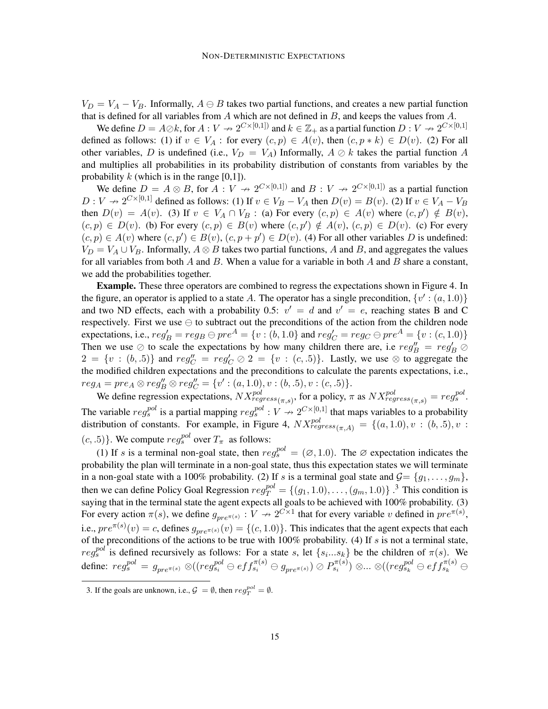$V_D = V_A - V_B$ . Informally,  $A \ominus B$  takes two partial functions, and creates a new partial function that is defined for all variables from  $A$  which are not defined in  $B$ , and keeps the values from  $A$ .

We define  $D = A \oslash k$ , for  $A: V \nrightarrow 2^{C \times [0,1])}$  and  $k \in \mathbb{Z}_+$  as a partial function  $D: V \nrightarrow 2^{C \times [0,1]}$ defined as follows: (1) if  $v \in V_A$ : for every  $(c, p) \in A(v)$ , then  $(c, p * k) \in D(v)$ . (2) For all other variables, D is undefined (i.e.,  $V_D = V_A$ ) Informally,  $A \oslash k$  takes the partial function A and multiplies all probabilities in its probability distribution of constants from variables by the probability  $k$  (which is in the range [0,1]).

We define  $D = A \otimes B$ , for  $A: V \rightarrow 2^{C \times [0,1]}$  and  $B: V \rightarrow 2^{C \times [0,1]}$  as a partial function  $D: V \to 2^{C \times [0,1]}$  defined as follows: (1) If  $v \in V_B - V_A$  then  $D(v) = B(v)$ . (2) If  $v \in V_A - V_B$ then  $D(v) = A(v)$ . (3) If  $v \in V_A \cap V_B$ : (a) For every  $(c, p) \in A(v)$  where  $(c, p') \notin B(v)$ ,  $(c, p) \in D(v)$ . (b) For every  $(c, p) \in B(v)$  where  $(c, p') \notin A(v)$ ,  $(c, p) \in D(v)$ . (c) For every  $(c, p) \in A(v)$  where  $(c, p') \in B(v)$ ,  $(c, p + p') \in D(v)$ . (4) For all other variables D is undefined:  $V_D = V_A \cup V_B$ . Informally,  $A \otimes B$  takes two partial functions, A and B, and aggregates the values for all variables from both  $A$  and  $B$ . When a value for a variable in both  $A$  and  $B$  share a constant, we add the probabilities together.

Example. These three operators are combined to regress the expectations shown in Figure 4. In the figure, an operator is applied to a state A. The operator has a single precondition,  $\{v' : (a, 1.0)\}$ and two ND effects, each with a probability 0.5:  $v' = d$  and  $v' = e$ , reaching states B and C respectively. First we use  $\ominus$  to subtract out the preconditions of the action from the children node expectations, i.e.,  $reg'_B = reg_B \ominus pre^A = \{v : (b, 1.0)\}$  and  $reg'_C = reg_C \ominus pre^A = \{v : (c, 1.0)\}$ Then we use  $\oslash$  to scale the expectations by how many children there are, i.e  $reg_B'' = reg_B' \oslash$  $2 = \{v : (b, .5)\}\$  and  $reg_C'' = reg_C' \oslash 2 = \{v : (c, .5)\}\$ . Lastly, we use  $\otimes$  to aggregate the the modified children expectations and the preconditions to calculate the parents expectations, i.e.,  $reg_A = pre_A \otimes reg''_B \otimes reg''_C = \{v' : (a, 1.0), v : (b, .5), v : (c, .5)\}.$ 

We define regression expectations,  $NX_{regress(\pi,s)}^{pol}$ , for a policy,  $\pi$  as  $NX_{regress(\pi,s)}^{pol} = reg_s^{pol}$ . The variable  $reg_s^{pol}$  is a partial mapping  $reg_s^{pol}: V \to 2^{C \times [0,1]}$  that maps variables to a probability distribution of constants. For example, in Figure 4,  $NX^{pol}_{regress(\pi,A)} = \{(a, 1.0), v : (b, .5), v : (c, .5), v : (c, .5), v : (c, .5), v : (c, .5), v : (c, .5), v : (c, .5), v : (c, .5), v : (c, .5), v : (c, .5), v : (c, .5), v : (c, .5), v : (c, .5), v : (c, .5), v : (c, .5), v : (c, .5), v : (c, .5), v : (c, .5), v : ($  $(c, .5)$ . We compute  $reg_s^{pol}$  over  $T_\pi$  as follows:

(1) If s is a terminal non-goal state, then  $reg_s^{pol} = (\emptyset, 1.0)$ . The Ø expectation indicates the probability the plan will terminate in a non-goal state, thus this expectation states we will terminate in a non-goal state with a 100% probability. (2) If s is a terminal goal state and  $\mathcal{G} = \{g_1, \ldots, g_m\}$ , then we can define Policy Goal Regression  $reg_T^{pol} = \{(g_1, 1.0), \ldots, (g_m, 1.0)\}\.$ <sup>3</sup> This condition is saying that in the terminal state the agent expects all goals to be achieved with 100% probability. (3) For every action  $\pi(s)$ , we define  $g_{pre^{\pi(s)}} : V \to 2^{C \times 1}$  that for every variable v defined in  $pre^{\pi(s)}$ , i.e.,  $pre^{\pi(s)}(v) = c$ , defines  $g_{pre^{\pi(s)}}(v) = \{(c, 1.0)\}\$ . This indicates that the agent expects that each of the preconditions of the actions to be true with  $100\%$  probability. (4) If s is not a terminal state,  $reg_s^{pol}$  is defined recursively as follows: For a state s, let  $\{s_i...s_k\}$  be the children of  $\pi(s)$ . We  $\text{define: } reg^{pol}_s\, = \, g_{pre^{\pi(s)}} \otimes ((reg^{pol}_{s_i} \ominus eff^{ \pi(s)}_{s_i} \ominus g_{pre^{\pi(s)}}) \oslash P^{ \pi(s)}_{s_i} ) \otimes ... \otimes ((reg^{pol}_{s_k} \ominus eff^{ \pi(s)}_{s_k} \ominus f_{s^{\pi(s)}}) )$ 

<sup>3.</sup> If the goals are unknown, i.e.,  $\mathcal{G} = \emptyset$ , then  $reg_T^{pol} = \emptyset$ .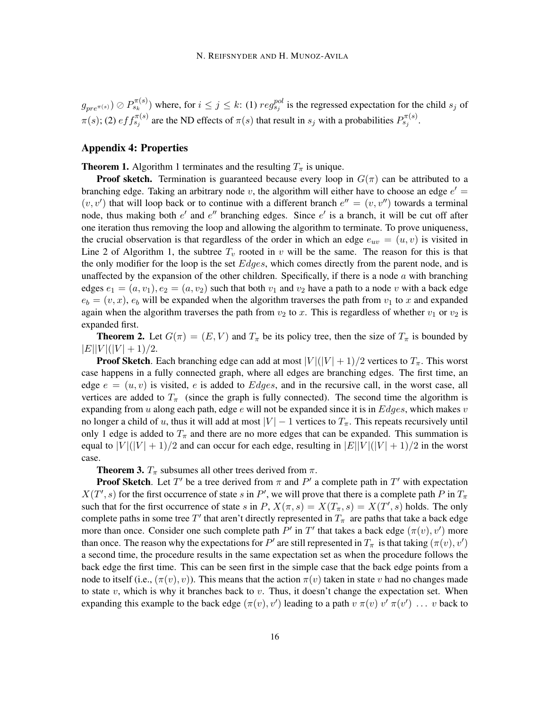$g_{pre^{\pi(s)}}) \oslash P_{s_k}^{\pi(s)}$  where, for  $i \leq j \leq k$ : (1)  $reg_{s_j}^{pol}$  is the regressed expectation for the child  $s_j$  of  $\pi(s)$ ; (2)  $eff_{s_j}^{\pi(s)}$  are the ND effects of  $\pi(s)$  that result in  $s_j$  with a probabilities  $P_{s_j}^{\pi(s)}$ .

## Appendix 4: Properties

**Theorem 1.** Algorithm 1 terminates and the resulting  $T_\pi$  is unique.

**Proof sketch.** Termination is guaranteed because every loop in  $G(\pi)$  can be attributed to a branching edge. Taking an arbitrary node v, the algorithm will either have to choose an edge  $e'$  $(v, v')$  that will loop back or to continue with a different branch  $e'' = (v, v'')$  towards a terminal node, thus making both  $e'$  and  $e''$  branching edges. Since  $e'$  is a branch, it will be cut off after one iteration thus removing the loop and allowing the algorithm to terminate. To prove uniqueness, the crucial observation is that regardless of the order in which an edge  $e_{uv} = (u, v)$  is visited in Line 2 of Algorithm 1, the subtree  $T_v$  rooted in v will be the same. The reason for this is that the only modifier for the loop is the set *Edges*, which comes directly from the parent node, and is unaffected by the expansion of the other children. Specifically, if there is a node  $a$  with branching edges  $e_1 = (a, v_1), e_2 = (a, v_2)$  such that both  $v_1$  and  $v_2$  have a path to a node v with a back edge  $e_b = (v, x)$ ,  $e_b$  will be expanded when the algorithm traverses the path from  $v_1$  to x and expanded again when the algorithm traverses the path from  $v_2$  to x. This is regardless of whether  $v_1$  or  $v_2$  is expanded first.

**Theorem 2.** Let  $G(\pi) = (E, V)$  and  $T_{\pi}$  be its policy tree, then the size of  $T_{\pi}$  is bounded by  $|E||V|(|V|+1)/2.$ 

**Proof Sketch**. Each branching edge can add at most  $|V|(|V|+1)/2$  vertices to  $T_{\pi}$ . This worst case happens in a fully connected graph, where all edges are branching edges. The first time, an edge  $e = (u, v)$  is visited, e is added to Edges, and in the recursive call, in the worst case, all vertices are added to  $T_{\pi}$  (since the graph is fully connected). The second time the algorithm is expanding from  $u$  along each path, edge  $e$  will not be expanded since it is in  $Edges$ , which makes  $v$ no longer a child of u, thus it will add at most  $|V| - 1$  vertices to  $T_{\pi}$ . This repeats recursively until only 1 edge is added to  $T_{\pi}$  and there are no more edges that can be expanded. This summation is equal to  $|V|(|V|+1)/2$  and can occur for each edge, resulting in  $|E||V|(|V|+1)/2$  in the worst case.

**Theorem 3.**  $T_{\pi}$  subsumes all other trees derived from  $\pi$ .

**Proof Sketch**. Let T' be a tree derived from  $\pi$  and P' a complete path in T' with expectation  $X(T', s)$  for the first occurrence of state s in P', we will prove that there is a complete path P in  $T_{\pi}$ such that for the first occurrence of state s in P,  $X(\pi, s) = X(T_{\pi}, s) = X(T', s)$  holds. The only complete paths in some tree T' that aren't directly represented in  $T_{\pi}$  are paths that take a back edge more than once. Consider one such complete path P' in T' that takes a back edge  $(\pi(v), v')$  more than once. The reason why the expectations for  $P'$  are still represented in  $T_{\pi}$  is that taking  $(\pi(v), v')$ a second time, the procedure results in the same expectation set as when the procedure follows the back edge the first time. This can be seen first in the simple case that the back edge points from a node to itself (i.e.,  $(\pi(v), v)$ ). This means that the action  $\pi(v)$  taken in state v had no changes made to state  $v$ , which is why it branches back to  $v$ . Thus, it doesn't change the expectation set. When expanding this example to the back edge  $(\pi(v), v')$  leading to a path  $v \pi(v) v' \pi(v') \dots v$  back to